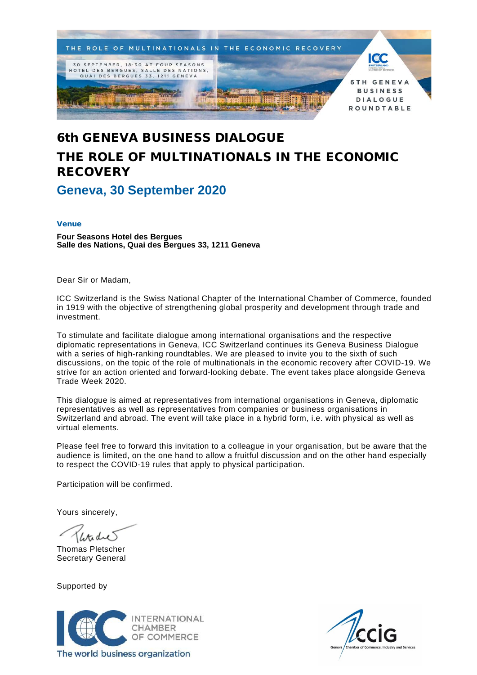

# 6th GENEVA BUSINESS DIALOGUE THE ROLE OF MULTINATIONALS IN THE ECONOMIC **RECOVERY**

**Geneva, 30 September 2020**

## Venue

**Four Seasons Hotel des Bergues Salle des Nations, Quai des Bergues 33, 1211 Geneva**

Dear Sir or Madam,

ICC Switzerland is the Swiss National Chapter of the International Chamber of Commerce, founded in 1919 with the objective of strengthening global prosperity and development through trade and investment.

To stimulate and facilitate dialogue among international organisations and the respective diplomatic representations in Geneva, ICC Switzerland continues its Geneva Business Dialogue with a series of high-ranking roundtables. We are pleased to invite you to the sixth of such discussions, on the topic of the role of multinationals in the economic recovery after COVID-19. We strive for an action oriented and forward-looking debate. The event takes place alongside Geneva Trade Week 2020.

This dialogue is aimed at representatives from international organisations in Geneva, diplomatic representatives as well as representatives from companies or business organisations in Switzerland and abroad. The event will take place in a hybrid form, i.e. with physical as well as virtual elements.

Please feel free to forward this invitation to a colleague in your organisation, but be aware that the audience is limited, on the one hand to allow a fruitful discussion and on the other hand especially to respect the COVID-19 rules that apply to physical participation.

Participation will be confirmed.

Yours sincerely,

Thomas Pletscher Secretary General

Supported by